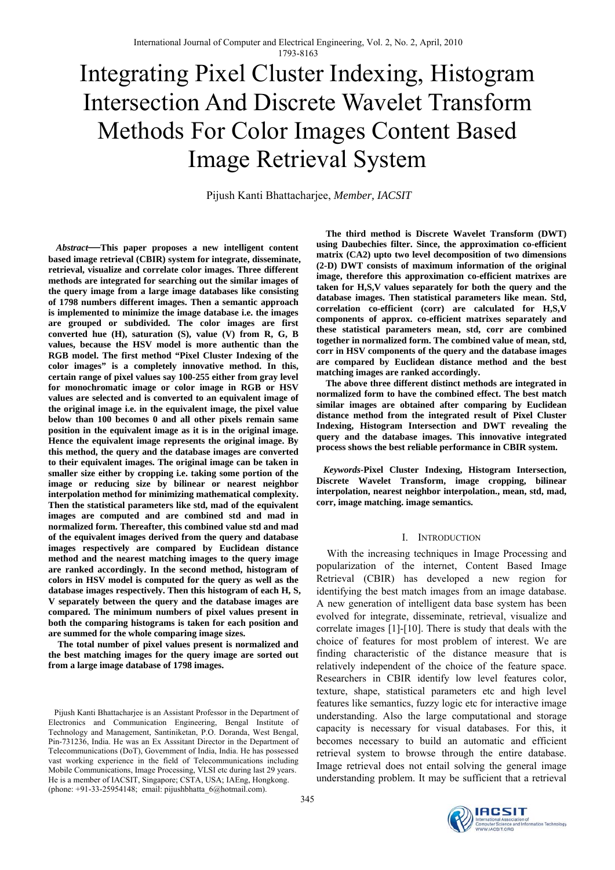# Integrating Pixel Cluster Indexing, Histogram Intersection And Discrete Wavelet Transform Methods For Color Images Content Based Image Retrieval System

Pijush Kanti Bhattacharjee, *Member, IACSIT*

 *Abstract—***This paper proposes a new intelligent content based image retrieval (CBIR) system for integrate, disseminate, retrieval, visualize and correlate color images. Three different methods are integrated for searching out the similar images of the query image from a large image databases like consisting of 1798 numbers different images. Then a semantic approach is implemented to minimize the image database i.e. the images are grouped or subdivided. The color images are first converted hue (H), saturation (S), value (V) from R, G, B values, because the HSV model is more authentic than the RGB model. The first method "Pixel Cluster Indexing of the color images" is a completely innovative method. In this, certain range of pixel values say 100-255 either from gray level for monochromatic image or color image in RGB or HSV values are selected and is converted to an equivalent image of the original image i.e. in the equivalent image, the pixel value below than 100 becomes 0 and all other pixels remain same position in the equivalent image as it is in the original image. Hence the equivalent image represents the original image. By this method, the query and the database images are converted to their equivalent images. The original image can be taken in smaller size either by cropping i.e. taking some portion of the image or reducing size by bilinear or nearest neighbor interpolation method for minimizing mathematical complexity. Then the statistical parameters like std, mad of the equivalent images are computed and are combined std and mad in normalized form. Thereafter, this combined value std and mad of the equivalent images derived from the query and database images respectively are compared by Euclidean distance method and the nearest matching images to the query image are ranked accordingly. In the second method, histogram of colors in HSV model is computed for the query as well as the database images respectively. Then this histogram of each H, S, V separately between the query and the database images are compared. The minimum numbers of pixel values present in both the comparing histograms is taken for each position and are summed for the whole comparing image sizes.** 

 **The total number of pixel values present is normalized and the best matching images for the query image are sorted out from a large image database of 1798 images.** 

Pijush Kanti Bhattacharjee is an Assistant Professor in the Department of Electronics and Communication Engineering, Bengal Institute of Technology and Management, Santiniketan, P.O. Doranda, West Bengal, Pin-731236, India. He was an Ex Asssitant Director in the Department of Telecommunications (DoT), Government of India, India. He has possessed vast working experience in the field of Telecommunications including Mobile Communications, Image Processing, VLSI etc during last 29 years. He is a member of IACSIT, Singapore; CSTA, USA; IAEng, Hongkong. (phone: +91-33-25954148; email: pijushbhatta\_6@hotmail.com).

 **The third method is Discrete Wavelet Transform (DWT) using Daubechies filter. Since, the approximation co-efficient matrix (CA2) upto two level decomposition of two dimensions (2-D) DWT consists of maximum information of the original image, therefore this approximation co-efficient matrixes are taken for H,S,V values separately for both the query and the database images. Then statistical parameters like mean. Std, correlation co-efficient (corr) are calculated for H,S,V components of approx. co-efficient matrixes separately and these statistical parameters mean, std, corr are combined together in normalized form. The combined value of mean, std, corr in HSV components of the query and the database images are compared by Euclidean distance method and the best matching images are ranked accordingly.** 

 **The above three different distinct methods are integrated in normalized form to have the combined effect. The best match similar images are obtained after comparing by Euclidean distance method from the integrated result of Pixel Cluster Indexing, Histogram Intersection and DWT revealing the query and the database images. This innovative integrated process shows the best reliable performance in CBIR system.** 

 *Keywords-***Pixel Cluster Indexing, Histogram Intersection, Discrete Wavelet Transform, image cropping, bilinear interpolation, nearest neighbor interpolation., mean, std, mad, corr, image matching. image semantics.** 

#### I. INTRODUCTION

With the increasing techniques in Image Processing and popularization of the internet, Content Based Image Retrieval (CBIR) has developed a new region for identifying the best match images from an image database. A new generation of intelligent data base system has been evolved for integrate, disseminate, retrieval, visualize and correlate images [1]-[10]. There is study that deals with the choice of features for most problem of interest. We are finding characteristic of the distance measure that is relatively independent of the choice of the feature space. Researchers in CBIR identify low level features color, texture, shape, statistical parameters etc and high level features like semantics, fuzzy logic etc for interactive image understanding. Also the large computational and storage capacity is necessary for visual databases. For this, it becomes necessary to build an automatic and efficient retrieval system to browse through the entire database. Image retrieval does not entail solving the general image understanding problem. It may be sufficient that a retrieval

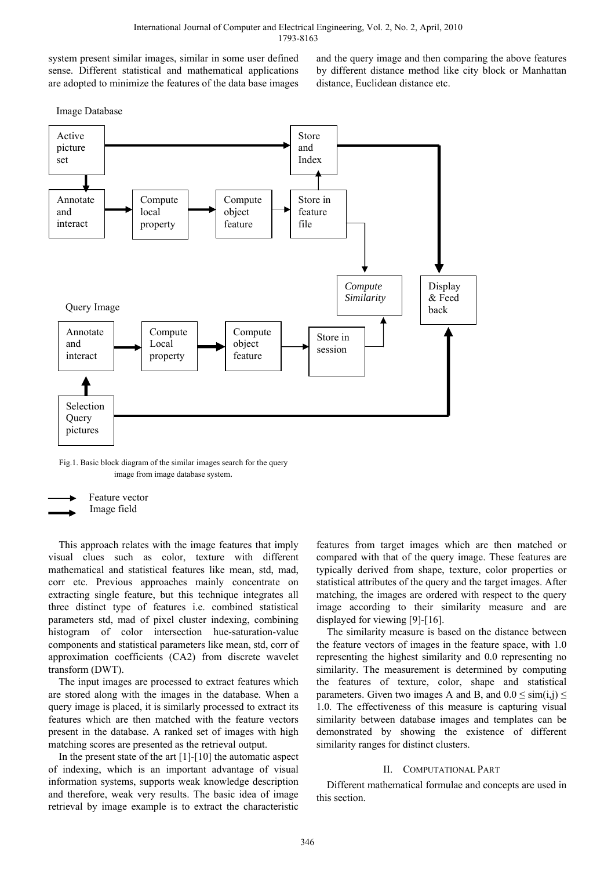system present similar images, similar in some user defined sense. Different statistical and mathematical applications are adopted to minimize the features of the data base images and the query image and then comparing the above features by different distance method like city block or Manhattan distance, Euclidean distance etc.

Image Database



Fig.1. Basic block diagram of the similar images search for the query image from image database system.



This approach relates with the image features that imply visual clues such as color, texture with different mathematical and statistical features like mean, std, mad, corr etc. Previous approaches mainly concentrate on extracting single feature, but this technique integrates all three distinct type of features i.e. combined statistical parameters std, mad of pixel cluster indexing, combining histogram of color intersection hue-saturation-value components and statistical parameters like mean, std, corr of approximation coefficients (CA2) from discrete wavelet transform (DWT).

The input images are processed to extract features which are stored along with the images in the database. When a query image is placed, it is similarly processed to extract its features which are then matched with the feature vectors present in the database. A ranked set of images with high matching scores are presented as the retrieval output.

In the present state of the art [1]-[10] the automatic aspect of indexing, which is an important advantage of visual information systems, supports weak knowledge description and therefore, weak very results. The basic idea of image retrieval by image example is to extract the characteristic

features from target images which are then matched or compared with that of the query image. These features are typically derived from shape, texture, color properties or statistical attributes of the query and the target images. After matching, the images are ordered with respect to the query image according to their similarity measure and are displayed for viewing [9]-[16].

The similarity measure is based on the distance between the feature vectors of images in the feature space, with 1.0 representing the highest similarity and 0.0 representing no similarity. The measurement is determined by computing the features of texture, color, shape and statistical parameters. Given two images A and B, and  $0.0 \le \text{sim}(i,j) \le$ 1.0. The effectiveness of this measure is capturing visual similarity between database images and templates can be demonstrated by showing the existence of different similarity ranges for distinct clusters.

#### II. COMPUTATIONAL PART

Different mathematical formulae and concepts are used in this section.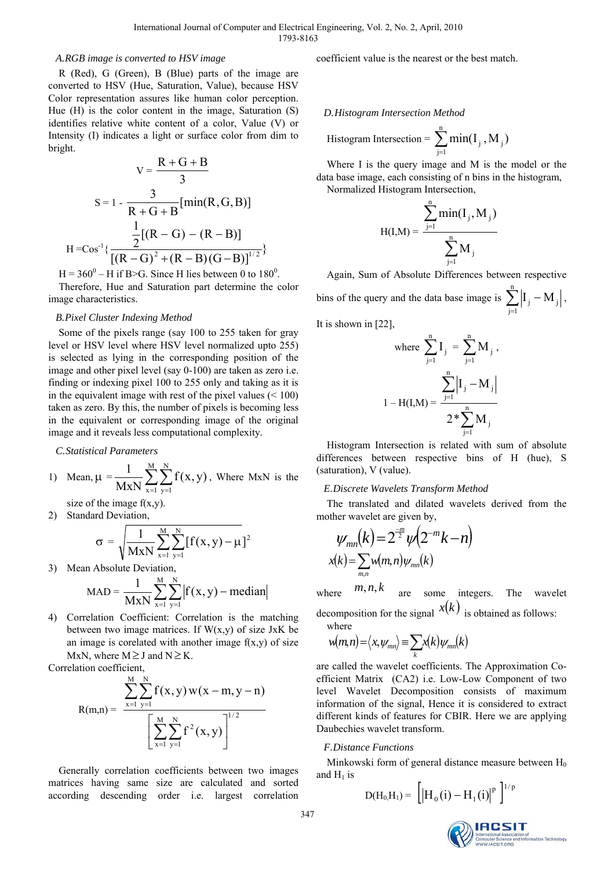#### *A.RGB image is converted to HSV image*

R (Red), G (Green), B (Blue) parts of the image are converted to HSV (Hue, Saturation, Value), because HSV Color representation assures like human color perception. Hue (H) is the color content in the image, Saturation (S) identifies relative white content of a color, Value (V) or Intensity (I) indicates a light or surface color from dim to bright.

$$
V = \frac{R + G + B}{3}
$$
  
\n
$$
S = 1 - \frac{3}{R + G + B} [\min(R, G, B)]
$$
  
\n
$$
\frac{1}{2} [(R - G) - (R - B)]
$$
  
\n
$$
H = Cos^{-1} \{ \frac{2}{[(R - G)^{2} + (R - B)(G - B)]^{1/2}} \}
$$

 $H = 360^0 - H$  if B>G. Since H lies between 0 to 180<sup>0</sup>. Therefore, Hue and Saturation part determine the color image characteristics.

#### *B.Pixel Cluster Indexing Method*

Some of the pixels range (say 100 to 255 taken for gray level or HSV level where HSV level normalized upto 255) is selected as lying in the corresponding position of the image and other pixel level (say 0-100) are taken as zero i.e. finding or indexing pixel 100 to 255 only and taking as it is in the equivalent image with rest of the pixel values  $(< 100$ ) taken as zero. By this, the number of pixels is becoming less in the equivalent or corresponding image of the original image and it reveals less computational complexity.

*C.Statistical Parameters* 

1) Mean, 
$$
\mu = \frac{1}{MxN} \sum_{x=1}^{M} \sum_{y=1}^{N} f(x, y)
$$
, Where MxN is the

size of the image  $f(x,y)$ . 2) Standard Deviation

$$
\sigma = \sqrt{\frac{1}{MxN} \sum_{x=1}^{M} \sum_{y=1}^{N} [f(x, y) - \mu]^2}
$$

 $x = 1$ 

3) Mean Absolute Deviation,

$$
MAD = \frac{1}{MxN} \sum_{x=1}^{M} \sum_{y=1}^{N} |f(x, y) - \text{median}|
$$

4) Correlation Coefficient: Correlation is the matching between two image matrices. If  $W(x,y)$  of size JxK be an image is corelated with another image  $f(x,y)$  of size MxN, where  $M \geq J$  and  $N \geq K$ .

Correlation coefficient,

$$
R(m,n) = \frac{\displaystyle\sum_{x=1}^{M}\sum_{y=1}^{N}f(x,y) \, w(x-m,y-n)}{\displaystyle\left[\sum_{x=1}^{M}\sum_{y=1}^{N}f^{2}(x,y)\right]^{1/2}}
$$

Generally correlation coefficients between two images matrices having same size are calculated and sorted according descending order i.e. largest correlation coefficient value is the nearest or the best match.

*D.Histogram Intersection Method* 

$$
Historam\ Intersection = \sum_{j=1}^{n} min(I_j, M_j)
$$

Where I is the query image and M is the model or the data base image, each consisting of n bins in the histogram, Normalized Histogram Intersection,

$$
H(I,M) = \frac{\sum_{j=1}^{n} \min(I_{j}, M_{j})}{\sum_{j=1}^{n} M_{j}}
$$

Again, Sum of Absolute Differences between respective bins of the query and the data base image is  $\sum_{j=1}^{n} |I_j - I_j|$  $j=1$  $\left.\mathbf{I}_j - \mathbf{M}_j\right|$ ,

It is shown in [22],

where 
$$
\sum_{j=1}^{n} I_j = \sum_{j=1}^{n} M_j
$$
,  
\n
$$
1 - H(I, M) = \frac{\sum_{j=1}^{n} |I_j - M_j|}{2 \sum_{j=1}^{n} M_j}
$$

Histogram Intersection is related with sum of absolute differences between respective bins of H (hue), S (saturation), V (value).

#### *E.Discrete Wavelets Transform Method*

The translated and dilated wavelets derived from the mother wavelet are given by,

$$
\psi_{mn}(k) = 2^{\frac{-m}{2}} \psi(2^{-m}k - n)
$$
  

$$
x(k) = \sum_{m,n} w(m,n) \psi_{mn}(k)
$$

where  $m, n, k$  are some integers. The wavelet

decomposition for the signal  $x(k)$  is obtained as follows: where

$$
w(m,n) = \langle x, \psi_{mn} \rangle \equiv \sum_{k} x(k) \psi_{mn}(k)
$$

are called the wavelet coefficients. The Approximation Coefficient Matrix (CA2) i.e. Low-Low Component of two level Wavelet Decomposition consists of maximum information of the signal, Hence it is considered to extract different kinds of features for CBIR. Here we are applying Daubechies wavelet transform.

#### *F.Distance Functions*

Minkowski form of general distance measure between  $H_0$ and  $H_1$  is

$$
D(H_0, H_1) = \left[ \left| H_0(i) - H_1(i) \right|^p \right]^{1/p}
$$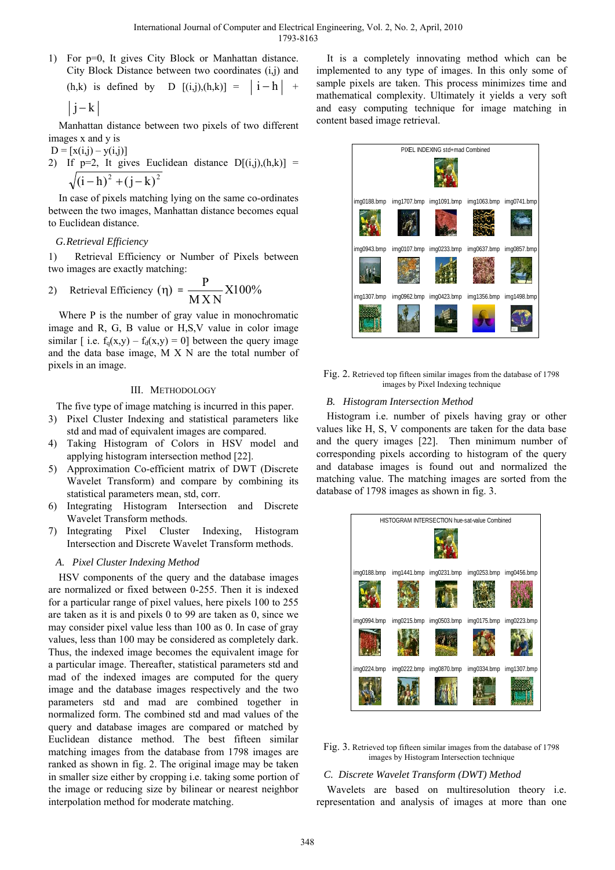1) For p=0, It gives City Block or Manhattan distance. City Block Distance between two coordinates (i,j) and

(h,k) is defined by D  $[(i,j),(h,k)] = |i-h| +$ 

$$
|j-k|
$$

Manhattan distance between two pixels of two different images x and y is

 $D = [x(i,j) - y(i,j)]$ 2) If  $p=2$ , It gives Euclidean distance  $D[(i,j),(h,k)] =$  $\sqrt{(i-h)^2 + (j-k)^2}$ 

In case of pixels matching lying on the same co-ordinates between the two images, Manhattan distance becomes equal to Euclidean distance.

# *G.Retrieval Efficiency*

1) Retrieval Efficiency or Number of Pixels between two images are exactly matching:

2) Retrieval Efficiency 
$$
(\eta) = \frac{P}{M X N} X 100\%
$$

Where P is the number of gray value in monochromatic image and R, G, B value or H,S,V value in color image similar [ i.e.  $f_a(x,y) - f_d(x,y) = 0$ ] between the query image and the data base image, M X N are the total number of pixels in an image.

# III. METHODOLOGY

The five type of image matching is incurred in this paper.

- 3) Pixel Cluster Indexing and statistical parameters like std and mad of equivalent images are compared.
- 4) Taking Histogram of Colors in HSV model and applying histogram intersection method [22].
- 5) Approximation Co-efficient matrix of DWT (Discrete Wavelet Transform) and compare by combining its statistical parameters mean, std, corr.
- 6) Integrating Histogram Intersection and Discrete Wavelet Transform methods.
- 7) Integrating Pixel Cluster Indexing, Histogram Intersection and Discrete Wavelet Transform methods.

# *A. Pixel Cluster Indexing Method*

HSV components of the query and the database images are normalized or fixed between 0-255. Then it is indexed for a particular range of pixel values, here pixels 100 to 255 are taken as it is and pixels 0 to 99 are taken as 0, since we may consider pixel value less than 100 as 0. In case of gray values, less than 100 may be considered as completely dark. Thus, the indexed image becomes the equivalent image for a particular image. Thereafter, statistical parameters std and mad of the indexed images are computed for the query image and the database images respectively and the two parameters std and mad are combined together in normalized form. The combined std and mad values of the query and database images are compared or matched by Euclidean distance method. The best fifteen similar matching images from the database from 1798 images are ranked as shown in fig. 2. The original image may be taken in smaller size either by cropping i.e. taking some portion of the image or reducing size by bilinear or nearest neighbor interpolation method for moderate matching.

It is a completely innovating method which can be implemented to any type of images. In this only some of sample pixels are taken. This process minimizes time and mathematical complexity. Ultimately it yields a very soft and easy computing technique for image matching in content based image retrieval.



Fig. 2. Retrieved top fifteen similar images from the database of 1798 images by Pixel Indexing technique

# *B. Histogram Intersection Method*

Histogram i.e. number of pixels having gray or other values like H, S, V components are taken for the data base and the query images [22]. Then minimum number of corresponding pixels according to histogram of the query and database images is found out and normalized the matching value. The matching images are sorted from the database of 1798 images as shown in fig. 3.



Fig. 3. Retrieved top fifteen similar images from the database of 1798 images by Histogram Intersection technique

# *C. Discrete Wavelet Transform (DWT) Method*

Wavelets are based on multiresolution theory i.e. representation and analysis of images at more than one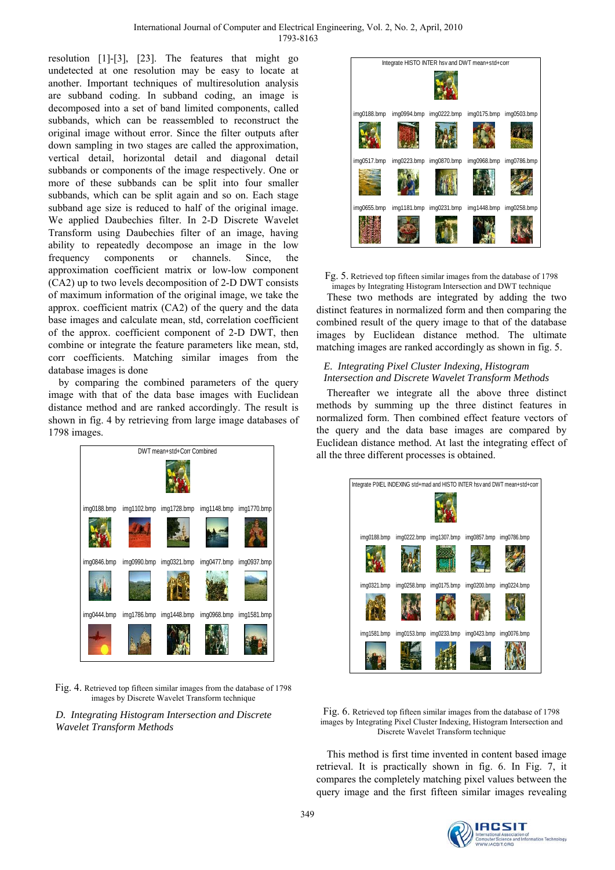resolution [1]-[3], [23]. The features that might go undetected at one resolution may be easy to locate at another. Important techniques of multiresolution analysis are subband coding. In subband coding, an image is decomposed into a set of band limited components, called subbands, which can be reassembled to reconstruct the original image without error. Since the filter outputs after down sampling in two stages are called the approximation, vertical detail, horizontal detail and diagonal detail subbands or components of the image respectively. One or more of these subbands can be split into four smaller subbands, which can be split again and so on. Each stage subband age size is reduced to half of the original image. We applied Daubechies filter. In 2-D Discrete Wavelet Transform using Daubechies filter of an image, having ability to repeatedly decompose an image in the low frequency components or channels. Since, the approximation coefficient matrix or low-low component (CA2) up to two levels decomposition of 2-D DWT consists of maximum information of the original image, we take the approx. coefficient matrix (CA2) of the query and the data base images and calculate mean, std, correlation coefficient of the approx. coefficient component of 2-D DWT, then combine or integrate the feature parameters like mean, std, corr coefficients. Matching similar images from the database images is done

by comparing the combined parameters of the query image with that of the data base images with Euclidean distance method and are ranked accordingly. The result is shown in fig. 4 by retrieving from large image databases of 1798 images.



Fig. 4. Retrieved top fifteen similar images from the database of 1798 images by Discrete Wavelet Transform technique

*D. Integrating Histogram Intersection and Discrete Wavelet Transform Methods* 



Fg. 5. Retrieved top fifteen similar images from the database of 1798 images by Integrating Histogram Intersection and DWT technique

These two methods are integrated by adding the two distinct features in normalized form and then comparing the combined result of the query image to that of the database images by Euclidean distance method. The ultimate matching images are ranked accordingly as shown in fig. 5.

# *E. Integrating Pixel Cluster Indexing, Histogram Intersection and Discrete Wavelet Transform Methods*

Thereafter we integrate all the above three distinct methods by summing up the three distinct features in normalized form. Then combined effect feature vectors of the query and the data base images are compared by Euclidean distance method. At last the integrating effect of all the three different processes is obtained.



Fig. 6. Retrieved top fifteen similar images from the database of 1798 images by Integrating Pixel Cluster Indexing, Histogram Intersection and Discrete Wavelet Transform technique

This method is first time invented in content based image retrieval. It is practically shown in fig. 6. In Fig. 7, it compares the completely matching pixel values between the query image and the first fifteen similar images revealing

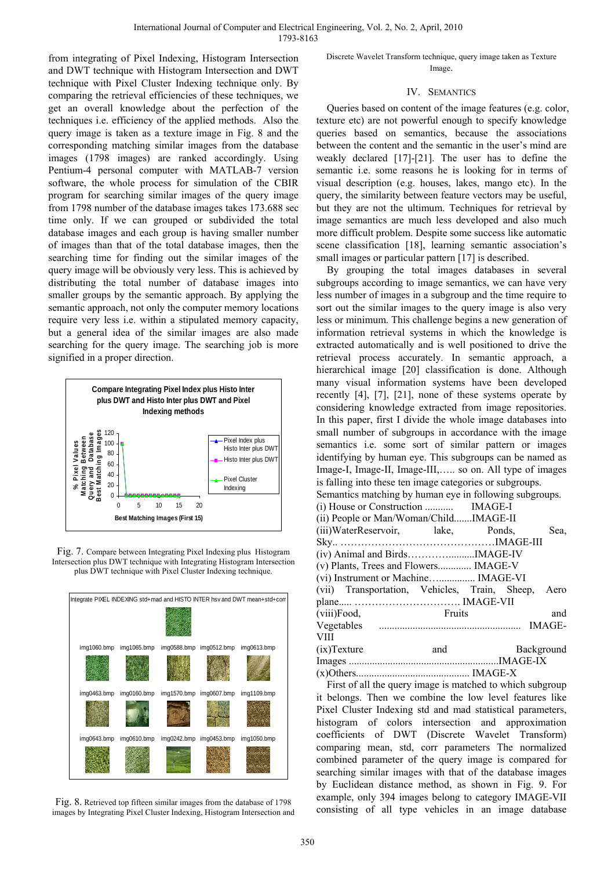from integrating of Pixel Indexing, Histogram Intersection and DWT technique with Histogram Intersection and DWT technique with Pixel Cluster Indexing technique only. By comparing the retrieval efficiencies of these techniques, we get an overall knowledge about the perfection of the techniques i.e. efficiency of the applied methods. Also the query image is taken as a texture image in Fig. 8 and the corresponding matching similar images from the database images (1798 images) are ranked accordingly. Using Pentium-4 personal computer with MATLAB-7 version software, the whole process for simulation of the CBIR program for searching similar images of the query image from 1798 number of the database images takes 173.688 sec time only. If we can grouped or subdivided the total database images and each group is having smaller number of images than that of the total database images, then the searching time for finding out the similar images of the query image will be obviously very less. This is achieved by distributing the total number of database images into smaller groups by the semantic approach. By applying the semantic approach, not only the computer memory locations require very less i.e. within a stipulated memory capacity, but a general idea of the similar images are also made searching for the query image. The searching job is more signified in a proper direction.



Fig. 7. Compare between Integrating Pixel Indexing plus Histogram Intersection plus DWT technique with Integrating Histogram Intersection plus DWT technique with Pixel Cluster Indexing technique.



Fig. 8. Retrieved top fifteen similar images from the database of 1798 images by Integrating Pixel Cluster Indexing, Histogram Intersection and

Discrete Wavelet Transform technique, query image taken as Texture Image.

#### IV. SEMANTICS

Queries based on content of the image features (e.g. color, texture etc) are not powerful enough to specify knowledge queries based on semantics, because the associations between the content and the semantic in the user's mind are weakly declared [17]-[21]. The user has to define the semantic i.e. some reasons he is looking for in terms of visual description (e.g. houses, lakes, mango etc). In the query, the similarity between feature vectors may be useful, but they are not the ultimum. Techniques for retrieval by image semantics are much less developed and also much more difficult problem. Despite some success like automatic scene classification [18], learning semantic association's small images or particular pattern [17] is described.

By grouping the total images databases in several subgroups according to image semantics, we can have very less number of images in a subgroup and the time require to sort out the similar images to the query image is also very less or minimum. This challenge begins a new generation of information retrieval systems in which the knowledge is extracted automatically and is well positioned to drive the retrieval process accurately. In semantic approach, a hierarchical image [20] classification is done. Although many visual information systems have been developed recently [4], [7], [21], none of these systems operate by considering knowledge extracted from image repositories. In this paper, first I divide the whole image databases into small number of subgroups in accordance with the image semantics i.e. some sort of similar pattern or images identifying by human eye. This subgroups can be named as Image-I, Image-II, Image-III,….. so on. All type of images is falling into these ten image categories or subgroups. Semantics matching by human eye in following subgroups. (i) House or Construction ........... IMAGE-I (ii) People or Man/Woman/Child.......IMAGE-II (iii)WaterReservoir, lake, Ponds, Sea, Sky.. ………………………………………IMAGE-III (iv) Animal and Birds…………..........IMAGE-IV (v) Plants, Trees and Flowers............. IMAGE-V (vi) Instrument or Machine….............. IMAGE-VI (vii) Transportation, Vehicles, Train, Sheep, Aero plane..... …………………………. IMAGE-VII (viii)Food, Fruits and Vegetables ....................................................... IMAGE-VIII (ix)Texture and Background Images ..........................................................IMAGE-IX (x)Others............................................ IMAGE-X

First of all the query image is matched to which subgroup it belongs. Then we combine the low level features like Pixel Cluster Indexing std and mad statistical parameters, histogram of colors intersection and approximation coefficients of DWT (Discrete Wavelet Transform) comparing mean, std, corr parameters The normalized combined parameter of the query image is compared for searching similar images with that of the database images by Euclidean distance method, as shown in Fig. 9. For example, only 394 images belong to category IMAGE-VII consisting of all type vehicles in an image database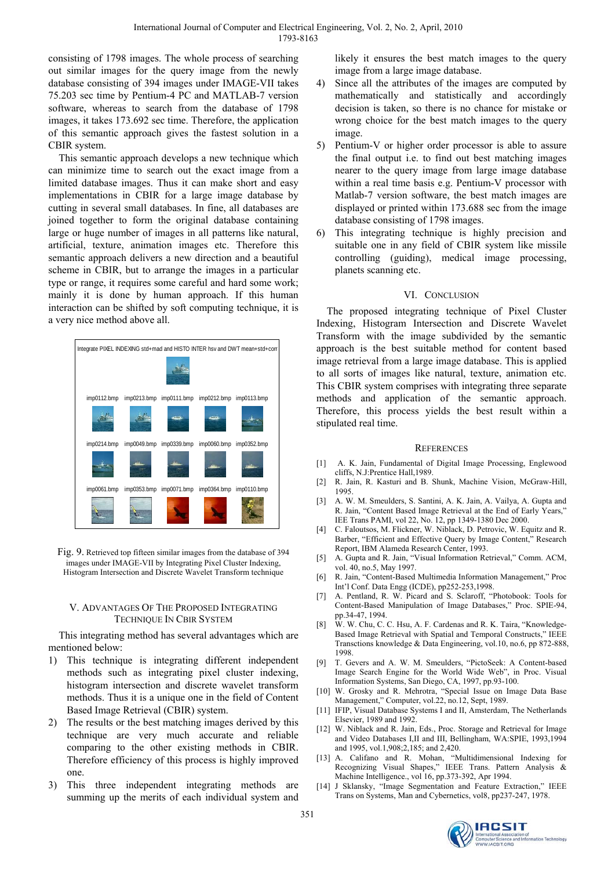consisting of 1798 images. The whole process of searching out similar images for the query image from the newly database consisting of 394 images under IMAGE-VII takes 75.203 sec time by Pentium-4 PC and MATLAB-7 version software, whereas to search from the database of 1798 images, it takes 173.692 sec time. Therefore, the application of this semantic approach gives the fastest solution in a CBIR system.

This semantic approach develops a new technique which can minimize time to search out the exact image from a limited database images. Thus it can make short and easy implementations in CBIR for a large image database by cutting in several small databases. In fine, all databases are joined together to form the original database containing large or huge number of images in all patterns like natural, artificial, texture, animation images etc. Therefore this semantic approach delivers a new direction and a beautiful scheme in CBIR, but to arrange the images in a particular type or range, it requires some careful and hard some work; mainly it is done by human approach. If this human interaction can be shifted by soft computing technique, it is a very nice method above all.



Fig. 9. Retrieved top fifteen similar images from the database of 394 images under IMAGE-VII by Integrating Pixel Cluster Indexing, Histogram Intersection and Discrete Wavelet Transform technique

# V. ADVANTAGES OF THE PROPOSED INTEGRATING TECHNIQUE IN CBIR SYSTEM

This integrating method has several advantages which are mentioned below:

- 1) This technique is integrating different independent methods such as integrating pixel cluster indexing, histogram intersection and discrete wavelet transform methods. Thus it is a unique one in the field of Content Based Image Retrieval (CBIR) system.
- 2) The results or the best matching images derived by this technique are very much accurate and reliable comparing to the other existing methods in CBIR. Therefore efficiency of this process is highly improved one.
- This three independent integrating methods are summing up the merits of each individual system and

likely it ensures the best match images to the query image from a large image database.

- 4) Since all the attributes of the images are computed by mathematically and statistically and accordingly decision is taken, so there is no chance for mistake or wrong choice for the best match images to the query image.
- 5) Pentium-V or higher order processor is able to assure the final output i.e. to find out best matching images nearer to the query image from large image database within a real time basis e.g. Pentium-V processor with Matlab-7 version software, the best match images are displayed or printed within 173.688 sec from the image database consisting of 1798 images.
- 6) This integrating technique is highly precision and suitable one in any field of CBIR system like missile controlling (guiding), medical image processing, planets scanning etc.

# VI. CONCLUSION

The proposed integrating technique of Pixel Cluster Indexing, Histogram Intersection and Discrete Wavelet Transform with the image subdivided by the semantic approach is the best suitable method for content based image retrieval from a large image database. This is applied to all sorts of images like natural, texture, animation etc. This CBIR system comprises with integrating three separate methods and application of the semantic approach. Therefore, this process yields the best result within a stipulated real time.

# **REFERENCES**

- [1] A. K. Jain, Fundamental of Digital Image Processing, Englewood cliffs, N.J:Prentice Hall,1989.
- [2] R. Jain, R. Kasturi and B. Shunk, Machine Vision, McGraw-Hill, 1995.
- [3] A. W. M. Smeulders, S. Santini, A. K. Jain, A. Vailya, A. Gupta and R. Jain, "Content Based Image Retrieval at the End of Early Years," IEE Trans PAMI, vol 22, No. 12, pp 1349-1380 Dec 2000.
- [4] C. Faloutsos, M. Flickner, W. Niblack, D. Petrovic, W. Equitz and R. Barber, "Efficient and Effective Query by Image Content," Research Report, IBM Alameda Research Center, 1993.
- [5] A. Gupta and R. Jain, "Visual Information Retrieval," Comm. ACM, vol. 40, no.5, May 1997.
- [6] R. Jain, "Content-Based Multimedia Information Management," Proc Int'l Conf. Data Engg (ICDE), pp252-253,1998.
- [7] A. Pentland, R. W. Picard and S. Sclaroff, "Photobook: Tools for Content-Based Manipulation of Image Databases," Proc. SPIE-94, pp.34-47, 1994.
- [8] W. W. Chu, C. C. Hsu, A. F. Cardenas and R. K. Taira, "Knowledge-Based Image Retrieval with Spatial and Temporal Constructs," IEEE Transctions knowledge & Data Engineering, vol.10, no.6, pp 872-888, 1998.
- [9] T. Gevers and A. W. M. Smeulders, "PictoSeek: A Content-based Image Search Engine for the World Wide Web", in Proc. Visual Information Systems, San Diego, CA, 1997, pp.93-100.
- [10] W. Grosky and R. Mehrotra, "Special Issue on Image Data Base Management," Computer, vol.22, no.12, Sept, 1989.
- [11] IFIP, Visual Database Systems I and II, Amsterdam, The Netherlands Elsevier, 1989 and 1992.
- [12] W. Niblack and R. Jain, Eds., Proc. Storage and Retrieval for Image and Video Databases I,II and III, Bellingham, WA:SPIE, 1993,1994 and 1995, vol.1,908;2,185; and 2,420.
- [13] A. Califano and R. Mohan, "Multidimensional Indexing for Recognizing Visual Shapes," IEEE Trans. Pattern Analysis & Machine Intelligence., vol 16, pp.373-392, Apr 1994.
- [14] J Sklansky, "Image Segmentation and Feature Extraction," IEEE Trans on Systems, Man and Cybernetics, vol8, pp237-247, 1978.